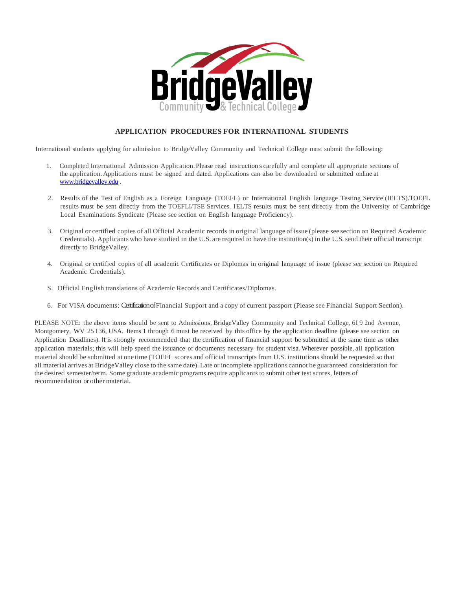

#### **APPLICATION PROCEDURES FOR INTERNATIONAL STUDENTS**

International students applying for admission to BridgeValley Community and Technical College must submit the following:

- 1. Completed International Admission Application.Please read instruction s carefully and complete all appropriate sections of the application. Applications must be signed and dated. Applications can also be downloaded or submitted online at [www.bridgevalley.edu](http://www.bridgevalley.edu/) .
- 2. Results of the Test of English as a Foreign Language (TOEFL) or International English language Testing Service (IELTS).TOEFL results must be sent directly from the TOEFLI/TSE Services. IELTS results must be sent directly from the University of Cambridge Local Examinations Syndicate (Please see section on English language Proficiency).
- 3. Original or certified copies of all Official Academic records in original language of issue (please see section on Required Academic Credentials). Applicants who have studied in the U.S. are required to have the institution(s) in the U.S.send their official transcript directly to BridgeValley.
- 4. Original or certified copies of all academic Certificates or Diplomas in original language of issue (please see section on Required Academic Credentials).
- S. Official English translations of Academic Records and Certificates/Diplomas.
- 6. For VISA documents: Certification ofFinancial Support and a copy of current passport (Please see Financial Support Section).

PLEASE NOTE: the above items should be sent to Admissions, BridgeValley Community and Technical College, 6I 9 2nd Avenue, Montgomery, WV 25136, USA. Items 1 through 6 must be received by this office by the application deadline (please see section on Application Deadlines). It is strongly recommended that the certification of financial support be submitted at the same time as other application materials; this will help speed the issuance of documents necessary for student visa. Wherever possible, all application material should be submitted at one time (TOEFL scores and official transcripts from U.S. institutionsshould be requested so that all material arrives at BridgeValley close to the same date). Late or incomplete applications cannot be guaranteed consideration for the desired semester/term. Some graduate academic programs require applicants to submit other test scores, letters of recommendation or other material.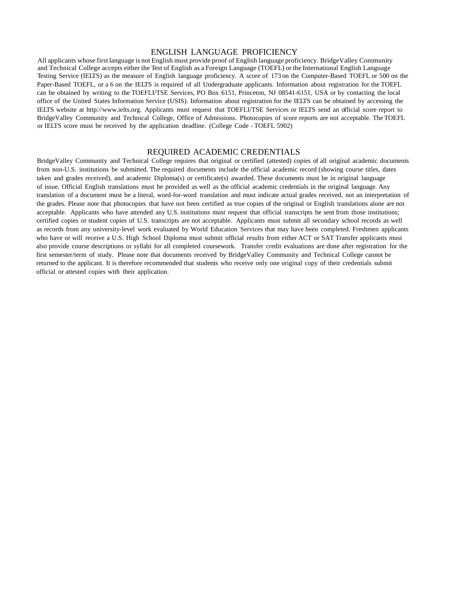#### ENGLISH LANGUAGE PROFICIENCY

All applicants whose first language is not English must provide proof of English language proficiency. BridgeValley Community and Technical College accepts either the Test of English as a Foreign Language (TOEFL) or the International English Language Testing Service (IELTS) as the measure of English language proficiency. A score of 173 on the Computer-Based TOEFL or 500 on the Paper-Based TOEFL, or a 6 on the IELTS is required of all Undergraduate applicants. Information about registration for the TOEFL can be obtained by writing to the TOEFLI/TSE Services, PO Box 6151, Princeton, NJ 08541-6151, USA or by contacting the local office of the United States Information Service (USIS). Information about registration for the IELTS can be obtained by accessing the IELTS website at [http://www.ielts.org.](http://www.ielts.org/) Applicants must request that TOEFLI/TSE Services or IELTS send an official score report to BridgeValley Community and Technical College, Office of Admissions. Photocopies of score reports are not acceptable. The TOEFL or IELTS score must be received by the application deadline. (College Code - TOEFL 5902)

#### REQUIRED ACADEMIC CREDENTIALS

BridgeValley Community and Technical College requires that original or certified (attested) copies of all original academic documents from non-U.S. institutions be submitted. The required documents include the official academic record (showing course titles, dates taken and grades received), and academic Diploma(s) or certificate(s) awarded. These documents must be in original language of issue. Official English translations must be provided as well as the official academic credentials in the original language. Any translation of a document must be a literal, word-for-word translation and must indicate actual grades received, not an interpretation of the grades. Please note that photocopies that have not been certified as true copies of the original or English translations alone are not acceptable. Applicants who have attended any U.S. institutions must request that official transcripts be sent from those institutions; certified copies or student copies of U.S. transcripts are not acceptable. Applicants must submit all secondary school records as well as records from any university-level work evaluated by World Education Services that may have been completed. Freshmen applicants who have or will receive a U.S. High School Diploma must submit official results from either ACT or SAT Transfer applicants must also provide course descriptions or syllabi for all completed coursework. Transfer credit evaluations are done after registration for the first semester/term of study. Please note that documents received by BridgeValley Community and Technical College cannot be returned to the applicant. It is therefore recommended that students who receive only one original copy of their credentials submit official or attested copies with their application.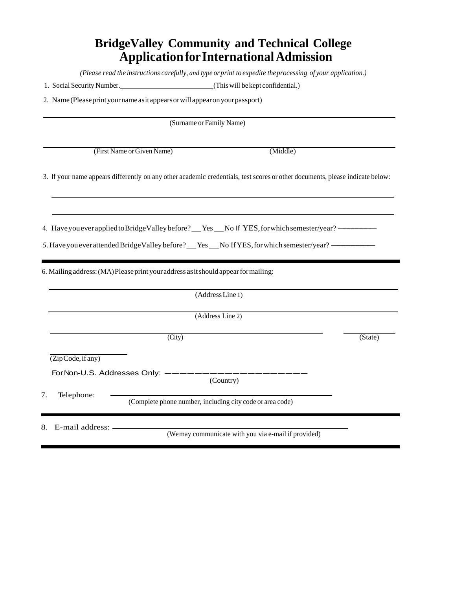# **BridgeValley Community and Technical College ApplicationforInternationalAdmission**

*(Please read the instructions carefully, and type orprint to expedite theprocessing of your application.)*

| 1. Social Security Number. | (This will be kept confidential.) |  |
|----------------------------|-----------------------------------|--|
|                            |                                   |  |

2. Name(Pleaseprintyournameasitappearsorwillappearonyourpassport)

|                                | (Surname or Family Name)                                  |                                                                                                                               |         |
|--------------------------------|-----------------------------------------------------------|-------------------------------------------------------------------------------------------------------------------------------|---------|
|                                | (First Name or Given Name)                                | (Middle)                                                                                                                      |         |
|                                |                                                           | 3. If your name appears differently on any other academic credentials, test scores or other documents, please indicate below: |         |
|                                |                                                           |                                                                                                                               |         |
|                                |                                                           | 4. Have you everapplied to Bridge Valley before? No Solution 15 YES, for which semester/year? ——                              |         |
|                                |                                                           | 5. Have you ever attended Bridge Valley before? __ Yes __ No If YES, for which semester/year? ______                          |         |
|                                |                                                           | (Address Line 1)<br>(Address Line 2)                                                                                          |         |
|                                |                                                           |                                                                                                                               |         |
|                                | $\overline{(City)}$                                       |                                                                                                                               | (State) |
| $(\overline{ZipCode}, if any)$ |                                                           |                                                                                                                               |         |
|                                |                                                           |                                                                                                                               |         |
|                                | ForNon-U.S. Addresses Only: ----                          |                                                                                                                               |         |
| Telephone:<br>7.               | (Complete phone number, including city code or area code) | (Country)                                                                                                                     |         |
| E-mail address: -<br>8.        |                                                           |                                                                                                                               |         |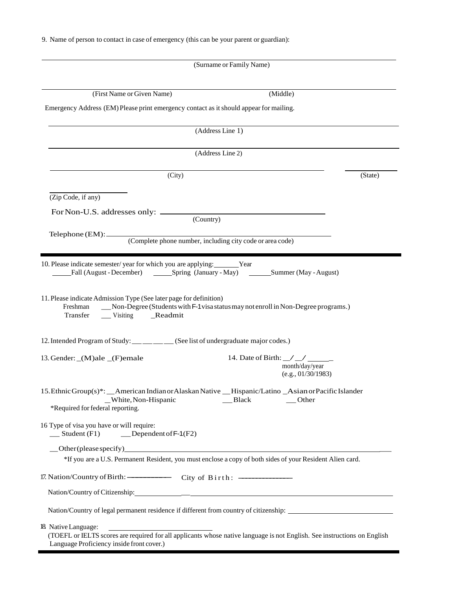9. Name of person to contact in case of emergency (this can be your parent or guardian):

| (Surname or Family Name)                                                                                                                                                                                                                   |         |
|--------------------------------------------------------------------------------------------------------------------------------------------------------------------------------------------------------------------------------------------|---------|
| (First Name or Given Name)<br>(Middle)                                                                                                                                                                                                     |         |
| Emergency Address (EM) Please print emergency contact as it should appear for mailing.                                                                                                                                                     |         |
| (Address Line 1)                                                                                                                                                                                                                           |         |
| (Address Line 2)                                                                                                                                                                                                                           |         |
| (City)                                                                                                                                                                                                                                     | (State) |
| (Zip Code, if any)                                                                                                                                                                                                                         |         |
| $\overline{(Country)}$                                                                                                                                                                                                                     |         |
|                                                                                                                                                                                                                                            |         |
| 10. Please indicate semester/year for which you are applying: Year<br>11. Please indicate Admission Type (See later page for definition)<br>_Mon-Degree (Students with F-1 visa status may not enroll in Non-Degree programs.)<br>Freshman |         |
| 12. Intended Program of Study: ___ __ __ __ (See list of undergraduate major codes.)                                                                                                                                                       |         |
| 14. Date of Birth: $\angle$ $\angle$ $\angle$<br>13. Gender: _(M)ale _(F)emale<br>month/day/year<br>(e.g., 01/30/1983)                                                                                                                     |         |
| 15. Ethnic Group(s)*: _American Indian or Alaskan Native _Hispanic/Latino _Asian or Pacific Islander<br>_White, Non-Hispanic<br>Black<br>Other<br>*Required for federal reporting.                                                         |         |
| 16 Type of visa you have or will require:<br>$\equiv$ Student (F1)<br>$\qquad$ Dependent of F-1(F2)                                                                                                                                        |         |
| Other (please specify)<br><u>Other (please specify)</u><br>*If you are a U.S. Permanent Resident, you must enclose a copy of both sides of your Resident Alien card.                                                                       |         |
| 17. Nation/Country of Birth: - City of Birth: - - - - City of Birth:                                                                                                                                                                       |         |
|                                                                                                                                                                                                                                            |         |
| Nation/Country of legal permanent residence if different from country of citizenship:                                                                                                                                                      |         |
| 18 Native Language:<br>(TOEFL or IELTS scores are required for all applicants whose native language is not English. See instructions on English<br>Language Proficiency inside front cover.)                                               |         |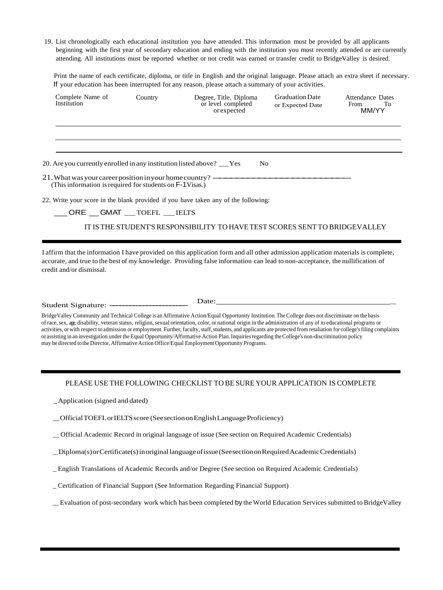19. List chronologically each educational institution you have attended. This information must be provided by all applicants beginning with the first year of secondary education and ending with the institution you most recently attended or are currently attending. All institutions must be reported whether or not credit was earned or transfer credit to BridgeValley is desired.

Print the name of each certificate, diploma, or title in English and the original language. Please attach an extra sheet if necessary. If your education has been interrupted for any reason, please attach a summary of your activities.

| Complete Name of<br>Institution                                                                                       | Country | Degree, Title, Diploma<br>or level completed<br>or expected                        | <b>Graduation Date</b><br>or Expected Date | Attendance Dates<br>From<br>To<br>MM/YY |
|-----------------------------------------------------------------------------------------------------------------------|---------|------------------------------------------------------------------------------------|--------------------------------------------|-----------------------------------------|
|                                                                                                                       |         |                                                                                    |                                            |                                         |
| 20. Are you currently enrolled in any institution listed above? <u>Case</u>                                           |         | No.                                                                                |                                            |                                         |
| 21. What was your career position in your home country? —<br>(This information is required for students on F-1Visas.) |         |                                                                                    |                                            |                                         |
|                                                                                                                       |         | 22. Write your score in the blank provided if you have taken any of the following: |                                            |                                         |
| ORE GMAT TOEFL IELTS                                                                                                  |         |                                                                                    |                                            |                                         |
|                                                                                                                       |         | IT IS THE STUDENT'S RESPONSIBILITY TO HAVE TEST SCORES SENT TO BRIDGEVALLEY        |                                            |                                         |

I affirm that the information I have provided on this application form and all other admission application materials is complete, accurate, and true to the best of my knowledge. Providing false information can lead to non-acceptance, the nullification of credit and/or dismissal.

Student Signature:

Date: \_

BridgeValley Community and Technical College is anAffirmative Action/Equal Opportunity Institution.TheCollege does not discriminate on the basis of race,sex, age, disability, veteran status, religion, sexual orientation, color, or national origin in the administration of any of its educational programs or activities, or with respect to admission or employment. Further, faculty, staff, students, and applicants are protected from retaliation for college's filing complaints or assisting in an investigation under the Equal Opportunity/Affirmative Action Plan. Inquiriesregarding theCollege's non-discrimination policy may be directed to the Director, Affirmative Action Office/Equal Employment Opportunity Programs.

#### PLEASE USE THE FOLLOWING CHECKLIST TO BESURE YOUR APPLICATION IS COMPLETE

\_Application (signed and dated)

\_OfficialTOEFLorIELTSscore (SeesectiononEnglishLanguageProficiency)

\_ Official Academic Record in original language of issue (See section on Required Academic Credentials)

\_Diploma(s)orCertificate(s)inoriginallanguageofissue(SeesectiononRequiredAcademicCredentials)

\_ English Translations of Academic Records and/or Degree (See section on Required Academic Credentials)

\_ Certification of Financial Support (See Information Regarding Financial Support)

\_Evaluation of post-secondary work which has been completed by the World Education Services submitted toBridgeValley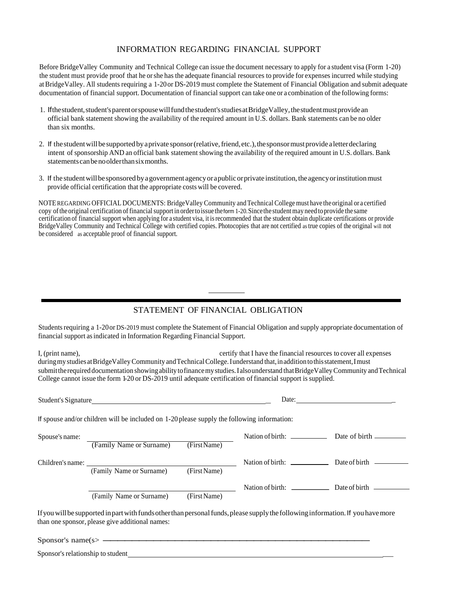## INFORMATION REGARDING FINANCIAL SUPPORT

Before BridgeValley Community and Technical College can issue the document necessary to apply for a student visa (Form 1-20) the student must provide proof that he orshe has the adequate financial resources to provide for expenses incurred while studying atBridgeValley. All students requiring a 1-20or DS-2019 must complete the Statement of Financial Obligation and submit adequate documentation of financial support. Documentation of financial support can take one or a combination of the following forms:

- 1. Ifthestudent,student'sparentorspousewillfundthestudent'sstudiesatBridgeValley,thestudentmustprovidean official bank statement showing the availability of the required amount in U.S. dollars. Bank statements can be no older than six months.
- 2. If the student will be supported by a private sponsor (relative, friend, etc.), the sponsor must provide a letter declaring intent of sponsorship AND an official bank statement showing the availability of the required amount in U.S. dollars. Bank statementscanbenoolderthansixmonths.
- 3. If the student will be sponsored by a government agency or apublic or private institution, the agency or institution must provide official certification that the appropriate costs will be covered.

NOTE REGARDING OFFICIAL DOCUMENTS: BridgeValley Community andTechnical College must have theoriginal or a certified copy of the original certification of financial support in order to issue the form 1-20. Since the student may need to provide the same certification of financial support when applying for a student visa, it isrecommended that the student obtain duplicate certifications or provide BridgeValley Community and Technical College with certified copies. Photocopies that are not certified as true copies of the original will not be considered as acceptable proof of financial support.

## STATEMENT OF FINANCIAL OBLIGATION

Students requiring a 1-20 or DS-2019 must complete the Statement of Financial Obligation and supply appropriate documentation of financial support asindicated in Information Regarding Financial Support.

I, (print name), certify that I have the financial resources to cover all expenses during my studies at BridgeValley Community and Technical College. I understand that, in addition to this statement, I must submit the required documentation showing ability to finance my studies. I also understand that Bridge Valley Community and Technical College cannot issue the form 1-20 or DS-2019 until adequate certification of financial support is supplied.

| Student's Signature |                                                                                             | Date:        |                                  |               |
|---------------------|---------------------------------------------------------------------------------------------|--------------|----------------------------------|---------------|
|                     | If spouse and/or children will be included on 1-20 please supply the following information: |              |                                  |               |
| Spouse's name:      | (Family Name or Surname)                                                                    | (First Name) | Nation of birth: $\frac{1}{2}$   |               |
| Children's name:    | (Family Name or Surname)                                                                    | (First Name) | Nation of birth: $\qquad \qquad$ | Date of birth |
|                     | (Family Name or Surname)                                                                    | (First Name) | Nation of birth: $\frac{1}{2}$   |               |

If you will be supported in part with funds other than personal funds, please supply the following information. If you have more than one sponsor, please give additional names: than one sponsor, please give additional names:<br>Sponsor's name(s>

Sponsor's relationship to student \_